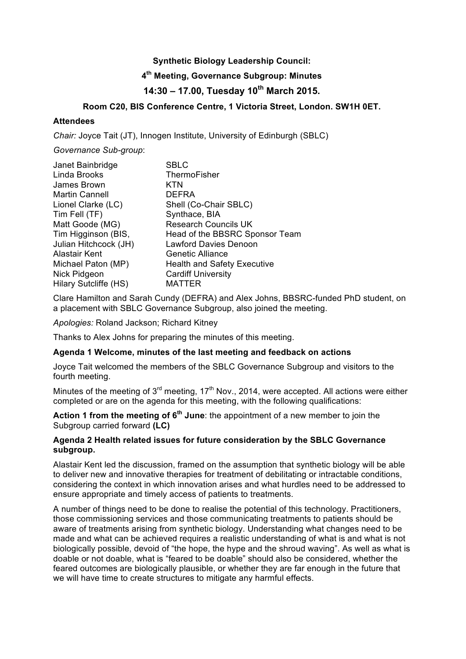## **Synthetic Biology Leadership Council:**

## **4th Meeting, Governance Subgroup: Minutes**

# **14:30 – 17.00, Tuesday 10th March 2015.**

## **Room C20, BIS Conference Centre, 1 Victoria Street, London. SW1H 0ET.**

#### **Attendees**

*Chair:* Joyce Tait (JT), Innogen Institute, University of Edinburgh (SBLC)

*Governance Sub-group*:

| Janet Bainbridge      | <b>SBLC</b>                        |
|-----------------------|------------------------------------|
| Linda Brooks          | ThermoFisher                       |
| James Brown           | KTN                                |
| <b>Martin Cannell</b> | <b>DEFRA</b>                       |
| Lionel Clarke (LC)    | Shell (Co-Chair SBLC)              |
| Tim Fell (TF)         | Synthace, BIA                      |
| Matt Goode (MG)       | <b>Research Councils UK</b>        |
| Tim Higginson (BIS,   | Head of the BBSRC Sponsor Team     |
| Julian Hitchcock (JH) | <b>Lawford Davies Denoon</b>       |
| <b>Alastair Kent</b>  | Genetic Alliance                   |
| Michael Paton (MP)    | <b>Health and Safety Executive</b> |
| Nick Pidgeon          | <b>Cardiff University</b>          |
| Hilary Sutcliffe (HS) | MATTER                             |

Clare Hamilton and Sarah Cundy (DEFRA) and Alex Johns, BBSRC-funded PhD student, on a placement with SBLC Governance Subgroup, also joined the meeting.

*Apologies:* Roland Jackson; Richard Kitney

Thanks to Alex Johns for preparing the minutes of this meeting.

#### **Agenda 1 Welcome, minutes of the last meeting and feedback on actions**

Joyce Tait welcomed the members of the SBLC Governance Subgroup and visitors to the fourth meeting.

Minutes of the meeting of  $3<sup>rd</sup>$  meeting, 17<sup>th</sup> Nov., 2014, were accepted. All actions were either completed or are on the agenda for this meeting, with the following qualifications:

**Action 1 from the meeting of 6th June**: the appointment of a new member to join the Subgroup carried forward **(LC)**

#### **Agenda 2 Health related issues for future consideration by the SBLC Governance subgroup.**

Alastair Kent led the discussion, framed on the assumption that synthetic biology will be able to deliver new and innovative therapies for treatment of debilitating or intractable conditions, considering the context in which innovation arises and what hurdles need to be addressed to ensure appropriate and timely access of patients to treatments.

A number of things need to be done to realise the potential of this technology. Practitioners, those commissioning services and those communicating treatments to patients should be aware of treatments arising from synthetic biology. Understanding what changes need to be made and what can be achieved requires a realistic understanding of what is and what is not biologically possible, devoid of "the hope, the hype and the shroud waving". As well as what is doable or not doable, what is "feared to be doable" should also be considered, whether the feared outcomes are biologically plausible, or whether they are far enough in the future that we will have time to create structures to mitigate any harmful effects.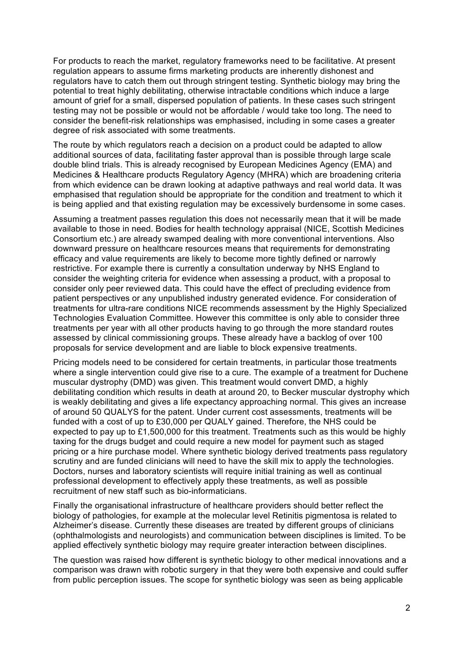For products to reach the market, regulatory frameworks need to be facilitative. At present regulation appears to assume firms marketing products are inherently dishonest and regulators have to catch them out through stringent testing. Synthetic biology may bring the potential to treat highly debilitating, otherwise intractable conditions which induce a large amount of grief for a small, dispersed population of patients. In these cases such stringent testing may not be possible or would not be affordable / would take too long. The need to consider the benefit-risk relationships was emphasised, including in some cases a greater degree of risk associated with some treatments.

The route by which regulators reach a decision on a product could be adapted to allow additional sources of data, facilitating faster approval than is possible through large scale double blind trials. This is already recognised by European Medicines Agency (EMA) and Medicines & Healthcare products Regulatory Agency (MHRA) which are broadening criteria from which evidence can be drawn looking at adaptive pathways and real world data. It was emphasised that regulation should be appropriate for the condition and treatment to which it is being applied and that existing regulation may be excessively burdensome in some cases.

Assuming a treatment passes regulation this does not necessarily mean that it will be made available to those in need. Bodies for health technology appraisal (NICE, Scottish Medicines Consortium etc.) are already swamped dealing with more conventional interventions. Also downward pressure on healthcare resources means that requirements for demonstrating efficacy and value requirements are likely to become more tightly defined or narrowly restrictive. For example there is currently a consultation underway by NHS England to consider the weighting criteria for evidence when assessing a product, with a proposal to consider only peer reviewed data. This could have the effect of precluding evidence from patient perspectives or any unpublished industry generated evidence. For consideration of treatments for ultra-rare conditions NICE recommends assessment by the Highly Specialized Technologies Evaluation Committee. However this committee is only able to consider three treatments per year with all other products having to go through the more standard routes assessed by clinical commissioning groups. These already have a backlog of over 100 proposals for service development and are liable to block expensive treatments.

Pricing models need to be considered for certain treatments, in particular those treatments where a single intervention could give rise to a cure. The example of a treatment for Duchene muscular dystrophy (DMD) was given. This treatment would convert DMD, a highly debilitating condition which results in death at around 20, to Becker muscular dystrophy which is weakly debilitating and gives a life expectancy approaching normal. This gives an increase of around 50 QUALYS for the patent. Under current cost assessments, treatments will be funded with a cost of up to £30,000 per QUALY gained. Therefore, the NHS could be expected to pay up to £1,500,000 for this treatment. Treatments such as this would be highly taxing for the drugs budget and could require a new model for payment such as staged pricing or a hire purchase model. Where synthetic biology derived treatments pass regulatory scrutiny and are funded clinicians will need to have the skill mix to apply the technologies. Doctors, nurses and laboratory scientists will require initial training as well as continual professional development to effectively apply these treatments, as well as possible recruitment of new staff such as bio-informaticians.

Finally the organisational infrastructure of healthcare providers should better reflect the biology of pathologies, for example at the molecular level Retinitis pigmentosa is related to Alzheimer's disease. Currently these diseases are treated by different groups of clinicians (ophthalmologists and neurologists) and communication between disciplines is limited. To be applied effectively synthetic biology may require greater interaction between disciplines.

The question was raised how different is synthetic biology to other medical innovations and a comparison was drawn with robotic surgery in that they were both expensive and could suffer from public perception issues. The scope for synthetic biology was seen as being applicable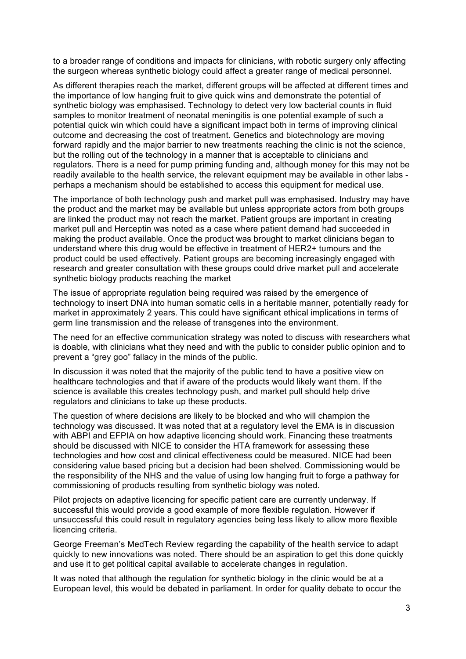to a broader range of conditions and impacts for clinicians, with robotic surgery only affecting the surgeon whereas synthetic biology could affect a greater range of medical personnel.

As different therapies reach the market, different groups will be affected at different times and the importance of low hanging fruit to give quick wins and demonstrate the potential of synthetic biology was emphasised. Technology to detect very low bacterial counts in fluid samples to monitor treatment of neonatal meningitis is one potential example of such a potential quick win which could have a significant impact both in terms of improving clinical outcome and decreasing the cost of treatment. Genetics and biotechnology are moving forward rapidly and the major barrier to new treatments reaching the clinic is not the science, but the rolling out of the technology in a manner that is acceptable to clinicians and regulators. There is a need for pump priming funding and, although money for this may not be readily available to the health service, the relevant equipment may be available in other labs perhaps a mechanism should be established to access this equipment for medical use.

The importance of both technology push and market pull was emphasised. Industry may have the product and the market may be available but unless appropriate actors from both groups are linked the product may not reach the market. Patient groups are important in creating market pull and Herceptin was noted as a case where patient demand had succeeded in making the product available. Once the product was brought to market clinicians began to understand where this drug would be effective in treatment of HER2+ tumours and the product could be used effectively. Patient groups are becoming increasingly engaged with research and greater consultation with these groups could drive market pull and accelerate synthetic biology products reaching the market

The issue of appropriate regulation being required was raised by the emergence of technology to insert DNA into human somatic cells in a heritable manner, potentially ready for market in approximately 2 years. This could have significant ethical implications in terms of germ line transmission and the release of transgenes into the environment.

The need for an effective communication strategy was noted to discuss with researchers what is doable, with clinicians what they need and with the public to consider public opinion and to prevent a "grey goo" fallacy in the minds of the public.

In discussion it was noted that the majority of the public tend to have a positive view on healthcare technologies and that if aware of the products would likely want them. If the science is available this creates technology push, and market pull should help drive regulators and clinicians to take up these products.

The question of where decisions are likely to be blocked and who will champion the technology was discussed. It was noted that at a regulatory level the EMA is in discussion with ABPI and EFPIA on how adaptive licencing should work. Financing these treatments should be discussed with NICE to consider the HTA framework for assessing these technologies and how cost and clinical effectiveness could be measured. NICE had been considering value based pricing but a decision had been shelved. Commissioning would be the responsibility of the NHS and the value of using low hanging fruit to forge a pathway for commissioning of products resulting from synthetic biology was noted.

Pilot projects on adaptive licencing for specific patient care are currently underway. If successful this would provide a good example of more flexible regulation. However if unsuccessful this could result in regulatory agencies being less likely to allow more flexible licencing criteria.

George Freeman's MedTech Review regarding the capability of the health service to adapt quickly to new innovations was noted. There should be an aspiration to get this done quickly and use it to get political capital available to accelerate changes in regulation.

It was noted that although the regulation for synthetic biology in the clinic would be at a European level, this would be debated in parliament. In order for quality debate to occur the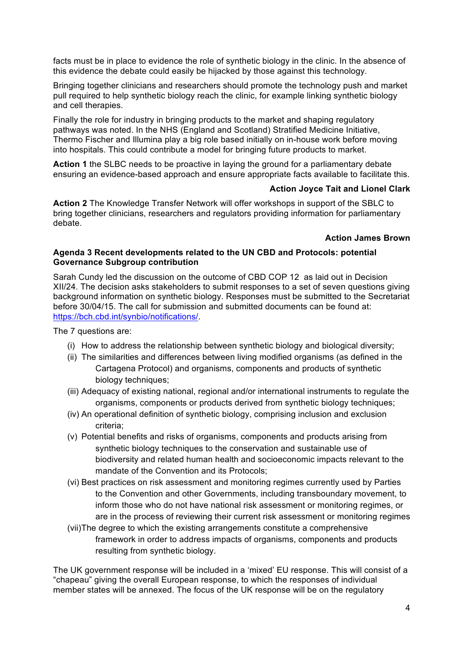facts must be in place to evidence the role of synthetic biology in the clinic. In the absence of this evidence the debate could easily be hijacked by those against this technology.

Bringing together clinicians and researchers should promote the technology push and market pull required to help synthetic biology reach the clinic, for example linking synthetic biology and cell therapies.

Finally the role for industry in bringing products to the market and shaping regulatory pathways was noted. In the NHS (England and Scotland) Stratified Medicine Initiative, Thermo Fischer and Illumina play a big role based initially on in-house work before moving into hospitals. This could contribute a model for bringing future products to market.

**Action 1** the SLBC needs to be proactive in laying the ground for a parliamentary debate ensuring an evidence-based approach and ensure appropriate facts available to facilitate this.

### **Action Joyce Tait and Lionel Clark**

**Action 2** The Knowledge Transfer Network will offer workshops in support of the SBLC to bring together clinicians, researchers and regulators providing information for parliamentary debate.

#### **Action James Brown**

#### **Agenda 3 Recent developments related to the UN CBD and Protocols: potential Governance Subgroup contribution**

Sarah Cundy led the discussion on the outcome of CBD COP 12 as laid out in Decision XII/24. The decision asks stakeholders to submit responses to a set of seven questions giving background information on synthetic biology. Responses must be submitted to the Secretariat before 30/04/15. The call for submission and submitted documents can be found at: https://bch.cbd.int/synbio/notifications/.

The 7 questions are:

- (i) How to address the relationship between synthetic biology and biological diversity;
- (ii) The similarities and differences between living modified organisms (as defined in the Cartagena Protocol) and organisms, components and products of synthetic biology techniques:
- (iii) Adequacy of existing national, regional and/or international instruments to regulate the organisms, components or products derived from synthetic biology techniques;
- (iv) An operational definition of synthetic biology, comprising inclusion and exclusion criteria;
- (v) Potential benefits and risks of organisms, components and products arising from synthetic biology techniques to the conservation and sustainable use of biodiversity and related human health and socioeconomic impacts relevant to the mandate of the Convention and its Protocols;
- (vi) Best practices on risk assessment and monitoring regimes currently used by Parties to the Convention and other Governments, including transboundary movement, to inform those who do not have national risk assessment or monitoring regimes, or are in the process of reviewing their current risk assessment or monitoring regimes
- (vii)The degree to which the existing arrangements constitute a comprehensive framework in order to address impacts of organisms, components and products resulting from synthetic biology.

The UK government response will be included in a 'mixed' EU response. This will consist of a "chapeau" giving the overall European response, to which the responses of individual member states will be annexed. The focus of the UK response will be on the regulatory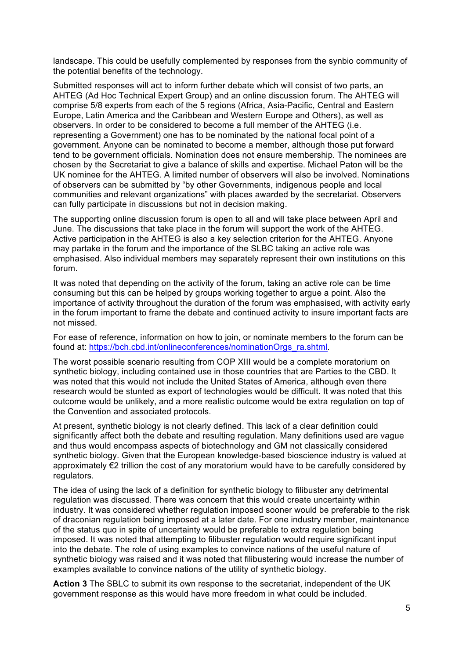landscape. This could be usefully complemented by responses from the synbio community of the potential benefits of the technology.

Submitted responses will act to inform further debate which will consist of two parts, an AHTEG (Ad Hoc Technical Expert Group) and an online discussion forum. The AHTEG will comprise 5/8 experts from each of the 5 regions (Africa, Asia-Pacific, Central and Eastern Europe, Latin America and the Caribbean and Western Europe and Others), as well as observers. In order to be considered to become a full member of the AHTEG (i.e. representing a Government) one has to be nominated by the national focal point of a government. Anyone can be nominated to become a member, although those put forward tend to be government officials. Nomination does not ensure membership. The nominees are chosen by the Secretariat to give a balance of skills and expertise. Michael Paton will be the UK nominee for the AHTEG. A limited number of observers will also be involved. Nominations of observers can be submitted by "by other Governments, indigenous people and local communities and relevant organizations" with places awarded by the secretariat. Observers can fully participate in discussions but not in decision making.

The supporting online discussion forum is open to all and will take place between April and June. The discussions that take place in the forum will support the work of the AHTEG. Active participation in the AHTEG is also a key selection criterion for the AHTEG. Anyone may partake in the forum and the importance of the SLBC taking an active role was emphasised. Also individual members may separately represent their own institutions on this forum.

It was noted that depending on the activity of the forum, taking an active role can be time consuming but this can be helped by groups working together to argue a point. Also the importance of activity throughout the duration of the forum was emphasised, with activity early in the forum important to frame the debate and continued activity to insure important facts are not missed.

For ease of reference, information on how to join, or nominate members to the forum can be found at: https://bch.cbd.int/onlineconferences/nominationOrgs\_ra.shtml.

The worst possible scenario resulting from COP XIII would be a complete moratorium on synthetic biology, including contained use in those countries that are Parties to the CBD. It was noted that this would not include the United States of America, although even there research would be stunted as export of technologies would be difficult. It was noted that this outcome would be unlikely, and a more realistic outcome would be extra regulation on top of the Convention and associated protocols.

At present, synthetic biology is not clearly defined. This lack of a clear definition could significantly affect both the debate and resulting regulation. Many definitions used are vague and thus would encompass aspects of biotechnology and GM not classically considered synthetic biology. Given that the European knowledge-based bioscience industry is valued at approximately €2 trillion the cost of any moratorium would have to be carefully considered by regulators.

The idea of using the lack of a definition for synthetic biology to filibuster any detrimental regulation was discussed. There was concern that this would create uncertainty within industry. It was considered whether regulation imposed sooner would be preferable to the risk of draconian regulation being imposed at a later date. For one industry member, maintenance of the status quo in spite of uncertainty would be preferable to extra regulation being imposed. It was noted that attempting to filibuster regulation would require significant input into the debate. The role of using examples to convince nations of the useful nature of synthetic biology was raised and it was noted that filibustering would increase the number of examples available to convince nations of the utility of synthetic biology.

**Action 3** The SBLC to submit its own response to the secretariat, independent of the UK government response as this would have more freedom in what could be included.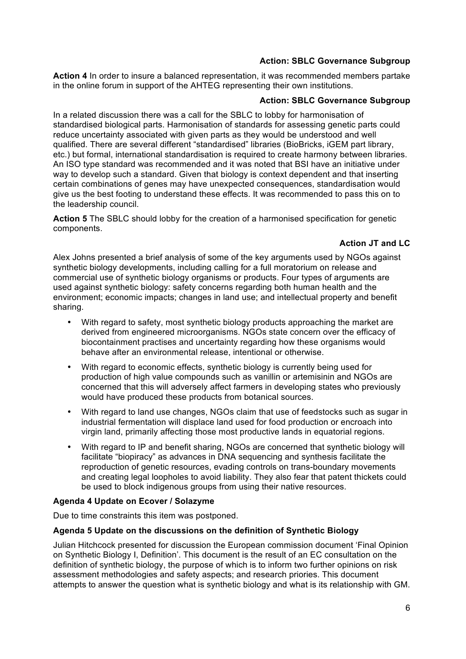## **Action: SBLC Governance Subgroup**

**Action 4** In order to insure a balanced representation, it was recommended members partake in the online forum in support of the AHTEG representing their own institutions.

### **Action: SBLC Governance Subgroup**

In a related discussion there was a call for the SBLC to lobby for harmonisation of standardised biological parts. Harmonisation of standards for assessing genetic parts could reduce uncertainty associated with given parts as they would be understood and well qualified. There are several different "standardised" libraries (BioBricks, iGEM part library, etc.) but formal, international standardisation is required to create harmony between libraries. An ISO type standard was recommended and it was noted that BSI have an initiative under way to develop such a standard. Given that biology is context dependent and that inserting certain combinations of genes may have unexpected consequences, standardisation would give us the best footing to understand these effects. It was recommended to pass this on to the leadership council.

**Action 5** The SBLC should lobby for the creation of a harmonised specification for genetic components.

## **Action JT and LC**

Alex Johns presented a brief analysis of some of the key arguments used by NGOs against synthetic biology developments, including calling for a full moratorium on release and commercial use of synthetic biology organisms or products. Four types of arguments are used against synthetic biology: safety concerns regarding both human health and the environment; economic impacts; changes in land use; and intellectual property and benefit sharing.

- With regard to safety, most synthetic biology products approaching the market are derived from engineered microorganisms. NGOs state concern over the efficacy of biocontainment practises and uncertainty regarding how these organisms would behave after an environmental release, intentional or otherwise.
- With regard to economic effects, synthetic biology is currently being used for production of high value compounds such as vanillin or artemisinin and NGOs are concerned that this will adversely affect farmers in developing states who previously would have produced these products from botanical sources.
- With regard to land use changes, NGOs claim that use of feedstocks such as sugar in industrial fermentation will displace land used for food production or encroach into virgin land, primarily affecting those most productive lands in equatorial regions.
- With regard to IP and benefit sharing, NGOs are concerned that synthetic biology will facilitate "biopiracy" as advances in DNA sequencing and synthesis facilitate the reproduction of genetic resources, evading controls on trans-boundary movements and creating legal loopholes to avoid liability. They also fear that patent thickets could be used to block indigenous groups from using their native resources.

## **Agenda 4 Update on Ecover / Solazyme**

Due to time constraints this item was postponed.

## **Agenda 5 Update on the discussions on the definition of Synthetic Biology**

Julian Hitchcock presented for discussion the European commission document 'Final Opinion on Synthetic Biology I, Definition'. This document is the result of an EC consultation on the definition of synthetic biology, the purpose of which is to inform two further opinions on risk assessment methodologies and safety aspects; and research priories. This document attempts to answer the question what is synthetic biology and what is its relationship with GM.